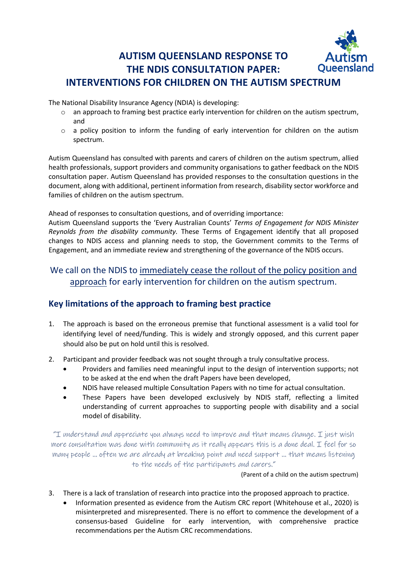#### **AUTISM QUEENSLAND RESPONSE TO Oueensland THE NDIS CONSULTATION PAPER: INTERVENTIONS FOR CHILDREN ON THE AUTISM SPECTRUM**

The National Disability Insurance Agency (NDIA) is developing:

- $\circ$  an approach to framing best practice early intervention for children on the autism spectrum, and
- o a policy position to inform the funding of early intervention for children on the autism spectrum.

Autism Queensland has consulted with parents and carers of children on the autism spectrum, allied health professionals, support providers and community organisations to gather feedback on the NDIS consultation paper. Autism Queensland has provided responses to the consultation questions in the document, along with additional, pertinent information from research, disability sector workforce and families of children on the autism spectrum.

Ahead of responses to consultation questions, and of overriding importance:

Autism Queensland supports the 'Every Australian Counts' *Terms of Engagement for NDIS Minister Reynolds from the disability community.* These Terms of Engagement identify that all proposed changes to NDIS access and planning needs to stop, the Government commits to the Terms of Engagement, and an immediate review and strengthening of the governance of the NDIS occurs.

## We call on the NDIS to immediately cease the rollout of the policy position and approach for early intervention for children on the autism spectrum.

## **Key limitations of the approach to framing best practice**

- 1. The approach is based on the erroneous premise that functional assessment is a valid tool for identifying level of need/funding. This is widely and strongly opposed, and this current paper should also be put on hold until this is resolved.
- 2. Participant and provider feedback was not sought through a truly consultative process.
	- Providers and families need meaningful input to the design of intervention supports; not to be asked at the end when the draft Papers have been developed,
	- NDIS have released multiple Consultation Papers with no time for actual consultation.
	- These Papers have been developed exclusively by NDIS staff, reflecting a limited understanding of current approaches to supporting people with disability and a social model of disability.

"I understand and appreciate you always need to improve and that means change. I just wish more consultation was done with community as it really appears this is a done deal. I feel for so many people … often we are already at breaking point and need support … that means listening to the needs of the participants and carers."

(Parent of a child on the autism spectrum)

- 3. There is a lack of translation of research into practice into the proposed approach to practice.
	- Information presented as evidence from the Autism CRC report (Whitehouse et al., 2020) is misinterpreted and misrepresented. There is no effort to commence the development of a consensus-based Guideline for early intervention, with comprehensive practice recommendations per the Autism CRC recommendations.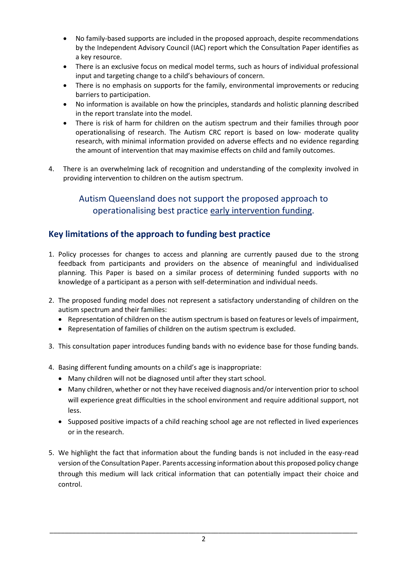- No family-based supports are included in the proposed approach, despite recommendations by the Independent Advisory Council (IAC) report which the Consultation Paper identifies as a key resource.
- There is an exclusive focus on medical model terms, such as hours of individual professional input and targeting change to a child's behaviours of concern.
- There is no emphasis on supports for the family, environmental improvements or reducing barriers to participation.
- No information is available on how the principles, standards and holistic planning described in the report translate into the model.
- There is risk of harm for children on the autism spectrum and their families through poor operationalising of research. The Autism CRC report is based on low- moderate quality research, with minimal information provided on adverse effects and no evidence regarding the amount of intervention that may maximise effects on child and family outcomes.
- 4. There is an overwhelming lack of recognition and understanding of the complexity involved in providing intervention to children on the autism spectrum.

## Autism Queensland does not support the proposed approach to operationalising best practice early intervention funding.

## **Key limitations of the approach to funding best practice**

- 1. Policy processes for changes to access and planning are currently paused due to the strong feedback from participants and providers on the absence of meaningful and individualised planning. This Paper is based on a similar process of determining funded supports with no knowledge of a participant as a person with self-determination and individual needs.
- 2. The proposed funding model does not represent a satisfactory understanding of children on the autism spectrum and their families:
	- Representation of children on the autism spectrum is based on features or levels of impairment,
	- Representation of families of children on the autism spectrum is excluded.
- 3. This consultation paper introduces funding bands with no evidence base for those funding bands.
- 4. Basing different funding amounts on a child's age is inappropriate:
	- Many children will not be diagnosed until after they start school.
	- Many children, whether or not they have received diagnosis and/or intervention prior to school will experience great difficulties in the school environment and require additional support, not less.
	- Supposed positive impacts of a child reaching school age are not reflected in lived experiences or in the research.
- 5. We highlight the fact that information about the funding bands is not included in the easy-read version of the Consultation Paper. Parents accessing information about this proposed policy change through this medium will lack critical information that can potentially impact their choice and control.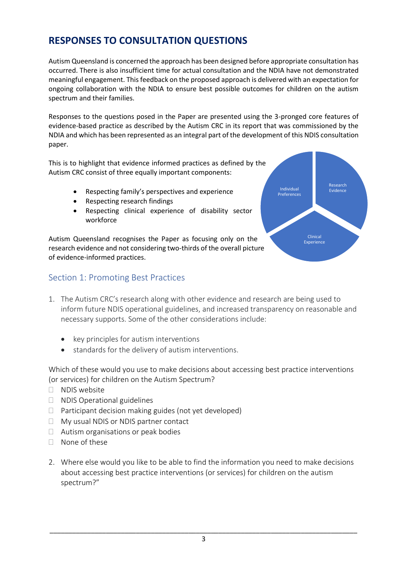# **RESPONSES TO CONSULTATION QUESTIONS**

Autism Queensland is concerned the approach has been designed before appropriate consultation has occurred. There is also insufficient time for actual consultation and the NDIA have not demonstrated meaningful engagement. This feedback on the proposed approach is delivered with an expectation for ongoing collaboration with the NDIA to ensure best possible outcomes for children on the autism spectrum and their families.

Responses to the questions posed in the Paper are presented using the 3-pronged core features of evidence-based practice as described by the Autism CRC in its report that was commissioned by the NDIA and which has been represented as an integral part of the development of this NDIS consultation paper.

This is to highlight that evidence informed practices as defined by the Autism CRC consist of three equally important components:

- Respecting family's perspectives and experience
- Respecting research findings
- Respecting clinical experience of disability sector workforce

Autism Queensland recognises the Paper as focusing only on the research evidence and not considering two-thirds of the overall picture of evidence-informed practices.

### Section 1: Promoting Best Practices

- 1. The Autism CRC's research along with other evidence and research are being used to inform future NDIS operational guidelines, and increased transparency on reasonable and necessary supports. Some of the other considerations include:
	- key principles for autism interventions
	- standards for the delivery of autism interventions.

Which of these would you use to make decisions about accessing best practice interventions (or services) for children on the Autism Spectrum?

- □ NDIS website
- NDIS Operational guidelines
- $\Box$  Participant decision making guides (not yet developed)
- My usual NDIS or NDIS partner contact
- □ Autism organisations or peak bodies
- None of these
- 2. Where else would you like to be able to find the information you need to make decisions about accessing best practice interventions (or services) for children on the autism spectrum?"

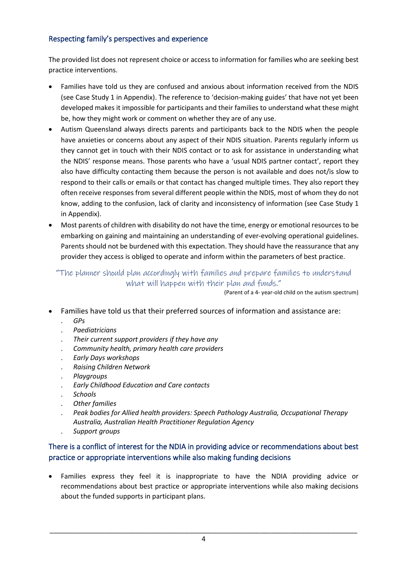### Respecting family's perspectives and experience

The provided list does not represent choice or access to information for families who are seeking best practice interventions.

- Families have told us they are confused and anxious about information received from the NDIS (see Case Study 1 in Appendix). The reference to 'decision-making guides' that have not yet been developed makes it impossible for participants and their families to understand what these might be, how they might work or comment on whether they are of any use.
- Autism Queensland always directs parents and participants back to the NDIS when the people have anxieties or concerns about any aspect of their NDIS situation. Parents regularly inform us they cannot get in touch with their NDIS contact or to ask for assistance in understanding what the NDIS' response means. Those parents who have a 'usual NDIS partner contact', report they also have difficulty contacting them because the person is not available and does not/is slow to respond to their calls or emails or that contact has changed multiple times. They also report they often receive responses from several different people within the NDIS, most of whom they do not know, adding to the confusion, lack of clarity and inconsistency of information (see Case Study 1 in Appendix).
- Most parents of children with disability do not have the time, energy or emotional resources to be embarking on gaining and maintaining an understanding of ever-evolving operational guidelines. Parents should not be burdened with this expectation. They should have the reassurance that any provider they access is obliged to operate and inform within the parameters of best practice.

"The planner should plan accordingly with families and prepare families to understand what will happen with their plan and funds."

(Parent of a 4- year-old child on the autism spectrum)

- Families have told us that their preferred sources of information and assistance are:
	- . *GPs*
	- . *Paediatricians*
	- . *Their current support providers if they have any*
	- . *Community health, primary health care providers*
	- . *Early Days workshops*
	- . *Raising Children Network*
	- . *Playgroups*
	- . *Early Childhood Education and Care contacts*
	- . *Schools*
	- . *Other families*
	- . *Peak bodies for Allied health providers: Speech Pathology Australia, Occupational Therapy Australia, Australian Health Practitioner Regulation Agency* . *Support groups*

#### There is a conflict of interest for the NDIA in providing advice or recommendations about best practice or appropriate interventions while also making funding decisions

• Families express they feel it is inappropriate to have the NDIA providing advice or recommendations about best practice or appropriate interventions while also making decisions about the funded supports in participant plans.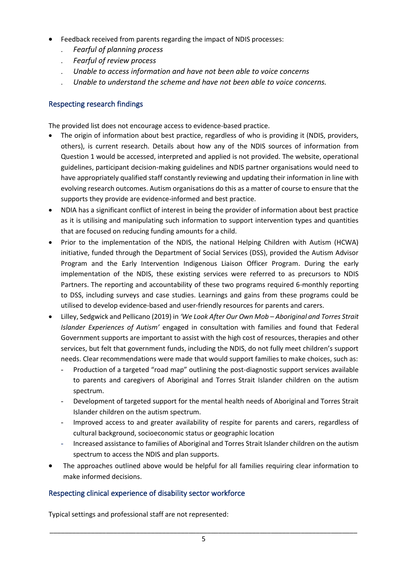- Feedback received from parents regarding the impact of NDIS processes:
	- . *Fearful of planning process*
	- . *Fearful of review process*
	- . *Unable to access information and have not been able to voice concerns*
	- . *Unable to understand the scheme and have not been able to voice concerns.*

#### Respecting research findings

The provided list does not encourage access to evidence-based practice.

- The origin of information about best practice, regardless of who is providing it (NDIS, providers, others), is current research. Details about how any of the NDIS sources of information from Question 1 would be accessed, interpreted and applied is not provided. The website, operational guidelines, participant decision-making guidelines and NDIS partner organisations would need to have appropriately qualified staff constantly reviewing and updating their information in line with evolving research outcomes. Autism organisations do this as a matter of course to ensure that the supports they provide are evidence-informed and best practice.
- NDIA has a significant conflict of interest in being the provider of information about best practice as it is utilising and manipulating such information to support intervention types and quantities that are focused on reducing funding amounts for a child.
- Prior to the implementation of the NDIS, the national Helping Children with Autism (HCWA) initiative, funded through the Department of Social Services (DSS), provided the Autism Advisor Program and the Early Intervention Indigenous Liaison Officer Program. During the early implementation of the NDIS, these existing services were referred to as precursors to NDIS Partners. The reporting and accountability of these two programs required 6-monthly reporting to DSS, including surveys and case studies. Learnings and gains from these programs could be utilised to develop evidence-based and user-friendly resources for parents and carers.
- Lilley, Sedgwick and Pellicano (2019) in *'We Look After Our Own Mob – Aboriginal and Torres Strait Islander Experiences of Autism'* engaged in consultation with families and found that Federal Government supports are important to assist with the high cost of resources, therapies and other services, but felt that government funds, including the NDIS, do not fully meet children's support needs. Clear recommendations were made that would support families to make choices, such as:
	- Production of a targeted "road map" outlining the post-diagnostic support services available to parents and caregivers of Aboriginal and Torres Strait Islander children on the autism spectrum.
	- Development of targeted support for the mental health needs of Aboriginal and Torres Strait Islander children on the autism spectrum.
	- Improved access to and greater availability of respite for parents and carers, regardless of cultural background, socioeconomic status or geographic location
	- Increased assistance to families of Aboriginal and Torres Strait Islander children on the autism spectrum to access the NDIS and plan supports.
- The approaches outlined above would be helpful for all families requiring clear information to make informed decisions.

#### Respecting clinical experience of disability sector workforce

Typical settings and professional staff are not represented: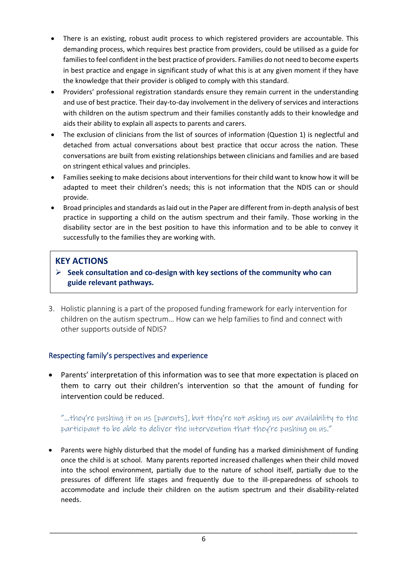- There is an existing, robust audit process to which registered providers are accountable. This demanding process, which requires best practice from providers, could be utilised as a guide for families to feel confident in the best practice of providers. Families do not need to become experts in best practice and engage in significant study of what this is at any given moment if they have the knowledge that their provider is obliged to comply with this standard.
- Providers' professional registration standards ensure they remain current in the understanding and use of best practice. Their day-to-day involvement in the delivery of services and interactions with children on the autism spectrum and their families constantly adds to their knowledge and aids their ability to explain all aspects to parents and carers.
- The exclusion of clinicians from the list of sources of information (Question 1) is neglectful and detached from actual conversations about best practice that occur across the nation. These conversations are built from existing relationships between clinicians and families and are based on stringent ethical values and principles.
- Families seeking to make decisions about interventions for their child want to know how it will be adapted to meet their children's needs; this is not information that the NDIS can or should provide.
- Broad principles and standards as laid out in the Paper are different from in-depth analysis of best practice in supporting a child on the autism spectrum and their family. Those working in the disability sector are in the best position to have this information and to be able to convey it successfully to the families they are working with.

## **KEY ACTIONS**

- ➢ **Seek consultation and co-design with key sections of the community who can guide relevant pathways.**
- 3. Holistic planning is a part of the proposed funding framework for early intervention for children on the autism spectrum… How can we help families to find and connect with other supports outside of NDIS?

## Respecting family's perspectives and experience

• Parents' interpretation of this information was to see that more expectation is placed on them to carry out their children's intervention so that the amount of funding for intervention could be reduced.

## "…they're pushing it on us [parents], but they're not asking us our availability to the participant to be able to deliver the intervention that they're pushing on us."

• Parents were highly disturbed that the model of funding has a marked diminishment of funding once the child is at school. Many parents reported increased challenges when their child moved into the school environment, partially due to the nature of school itself, partially due to the pressures of different life stages and frequently due to the ill-preparedness of schools to accommodate and include their children on the autism spectrum and their disability-related needs.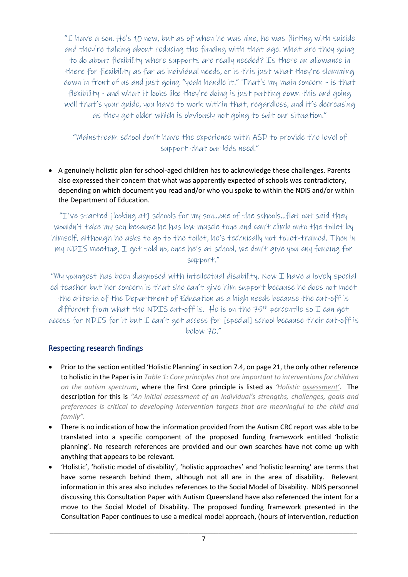"I have a son.  $He$ 's 10 now, but as of when he was nine, he was flirting with suicide and they're talking about reducing the funding with that age. What are they going to do about flexibility where supports are really needed? Is there an allowance in there for flexibility as far as individual needs, or is this just what they're slamming down in front of us and just going "yeah handle it." That's my main concern - is that flexibility - and what it looks like they're doing is just putting down this and going well that's your guide, you have to work within that, regardless, and it's decreasing as they get older which is obviously not going to suit our situation."

"Mainstream school don't have the experience with ASD to provide the level of support that our kids need."

• A genuinely holistic plan for school-aged children has to acknowledge these challenges. Parents also expressed their concern that what was apparently expected of schools was contradictory, depending on which document you read and/or who you spoke to within the NDIS and/or within the Department of Education.

"I've started [looking at] schools for my son…one of the schools…flat out said they wouldn't take my son because he has low muscle tone and can't climb onto the toilet by himself, although he asks to go to the toilet, he's technically not toilet-trained. Then in my NDIS meeting, I got told no, once he's at school, we don't give you any funding for support."

"My youngest has been diagnosed with intellectual disability. Now I have a lovely special ed teacher but her concern is that she can't give him support because he does not meet the criteria of the Department of Education as a high needs because the cut-off is different from what the NDIS cut-off is. He is on the  $75<sup>th</sup>$  percentile so I can get access for NDIS for it but I can't get access for [special] school because their cut-off is below 70."

### Respecting research findings

- Prior to the section entitled 'Holistic Planning' in section 7.4, on page 21, the only other reference to holistic in the Paper is in *Table 1: Core principles that are important to interventions for children on the autism spectrum*, where the first Core principle is listed as *'Holistic assessment'*. The description for this is *"An initial assessment of an individual's strengths, challenges, goals and preferences is critical to developing intervention targets that are meaningful to the child and family".*
- There is no indication of how the information provided from the Autism CRC report was able to be translated into a specific component of the proposed funding framework entitled 'holistic planning'. No research references are provided and our own searches have not come up with anything that appears to be relevant.
- 'Holistic', 'holistic model of disability', 'holistic approaches' and 'holistic learning' are terms that have some research behind them, although not all are in the area of disability. Relevant information in this area also includes references to the Social Model of Disability. NDIS personnel discussing this Consultation Paper with Autism Queensland have also referenced the intent for a move to the Social Model of Disability. The proposed funding framework presented in the Consultation Paper continues to use a medical model approach, (hours of intervention, reduction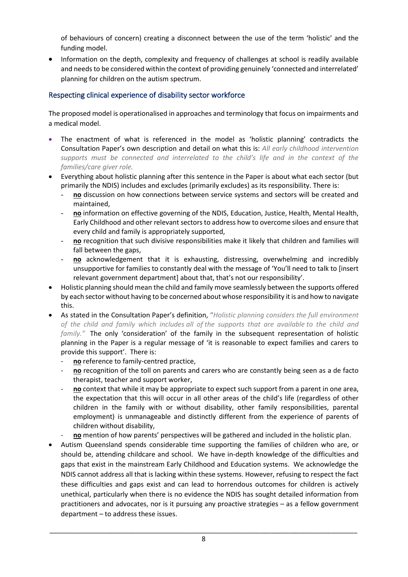of behaviours of concern) creating a disconnect between the use of the term 'holistic' and the funding model.

• Information on the depth, complexity and frequency of challenges at school is readily available and needs to be considered within the context of providing genuinely 'connected and interrelated' planning for children on the autism spectrum.

### Respecting clinical experience of disability sector workforce

The proposed model is operationalised in approaches and terminology that focus on impairments and a medical model.

- The enactment of what is referenced in the model as 'holistic planning' contradicts the Consultation Paper's own description and detail on what this is: *All early childhood intervention supports must be connected and interrelated to the child's life and in the context of the families/care giver role.*
- Everything about holistic planning after this sentence in the Paper is about what each sector (but primarily the NDIS) includes and excludes (primarily excludes) as its responsibility. There is:
	- no discussion on how connections between service systems and sectors will be created and maintained,
	- **no** information on effective governing of the NDIS, Education, Justice, Health, Mental Health, Early Childhood and other relevant sectors to address how to overcome siloes and ensure that every child and family is appropriately supported,
	- **no** recognition that such divisive responsibilities make it likely that children and families will fall between the gaps,
	- **no** acknowledgement that it is exhausting, distressing, overwhelming and incredibly unsupportive for families to constantly deal with the message of 'You'll need to talk to [insert relevant government department] about that, that's not our responsibility'.
- Holistic planning should mean the child and family move seamlessly between the supports offered by each sector without having to be concerned about whose responsibility it is and how to navigate this.
- As stated in the Consultation Paper's definition, "*Holistic planning considers the full environment of the child and family which includes all of the supports that are available to the child and family."* The only 'consideration' of the family in the subsequent representation of holistic planning in the Paper is a regular message of 'it is reasonable to expect families and carers to provide this support'. There is:
	- no reference to family-centred practice,
	- **no** recognition of the toll on parents and carers who are constantly being seen as a de facto therapist, teacher and support worker,
	- **no** context that while it may be appropriate to expect such support from a parent in one area, the expectation that this will occur in all other areas of the child's life (regardless of other children in the family with or without disability, other family responsibilities, parental employment) is unmanageable and distinctly different from the experience of parents of children without disability,
	- **no** mention of how parents' perspectives will be gathered and included in the holistic plan.
- Autism Queensland spends considerable time supporting the families of children who are, or should be, attending childcare and school. We have in-depth knowledge of the difficulties and gaps that exist in the mainstream Early Childhood and Education systems. We acknowledge the NDIS cannot address all that is lacking within these systems. However, refusing to respect the fact these difficulties and gaps exist and can lead to horrendous outcomes for children is actively unethical, particularly when there is no evidence the NDIS has sought detailed information from practitioners and advocates, nor is it pursuing any proactive strategies – as a fellow government department – to address these issues.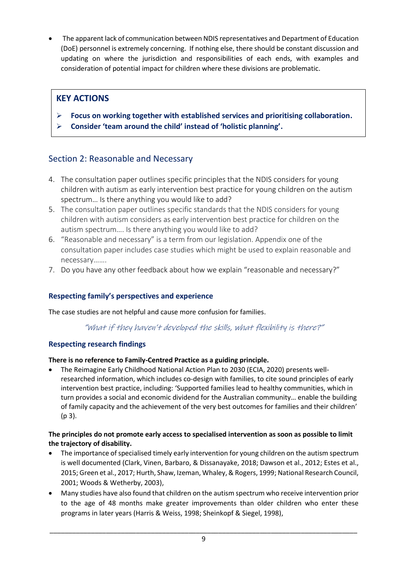• The apparent lack of communication between NDIS representatives and Department of Education (DoE) personnel is extremely concerning. If nothing else, there should be constant discussion and updating on where the jurisdiction and responsibilities of each ends, with examples and consideration of potential impact for children where these divisions are problematic.

## **KEY ACTIONS**

- ➢ **Focus on working together with established services and prioritising collaboration.**
- ➢ **Consider 'team around the child' instead of 'holistic planning'.**

## Section 2: Reasonable and Necessary

- 4. The consultation paper outlines specific principles that the NDIS considers for young children with autism as early intervention best practice for young children on the autism spectrum… Is there anything you would like to add?
- 5. The consultation paper outlines specific standards that the NDIS considers for young children with autism considers as early intervention best practice for children on the autism spectrum…. Is there anything you would like to add?
- 6. "Reasonable and necessary" is a term from our legislation. Appendix one of the consultation paper includes case studies which might be used to explain reasonable and necessary…….
- 7. Do you have any other feedback about how we explain "reasonable and necessary?"

## **Respecting family's perspectives and experience**

The case studies are not helpful and cause more confusion for families.

"What if they haven't developed the skills, what flexibility is there?"

### **Respecting research findings**

### **There is no reference to Family-Centred Practice as a guiding principle.**

• The Reimagine Early Childhood National Action Plan to 2030 (ECIA, 2020) presents wellresearched information, which includes co-design with families, to cite sound principles of early intervention best practice, including: 'Supported families lead to healthy communities, which in turn provides a social and economic dividend for the Australian community… enable the building of family capacity and the achievement of the very best outcomes for families and their children' (p 3).

#### **The principles do not promote early access to specialised intervention as soon as possible to limit the trajectory of disability.**

- The importance of specialised timely early intervention for young children on the autism spectrum is well documented (Clark, Vinen, Barbaro, & Dissanayake, 2018; Dawson et al., 2012; Estes et al., 2015; Green et al., 2017; Hurth, Shaw, Izeman, Whaley, & Rogers, 1999; National Research Council, 2001; Woods & Wetherby, 2003),
- Many studies have also found that children on the autism spectrum who receive intervention prior to the age of 48 months make greater improvements than older children who enter these programs in later years (Harris & Weiss, 1998; Sheinkopf & Siegel, 1998),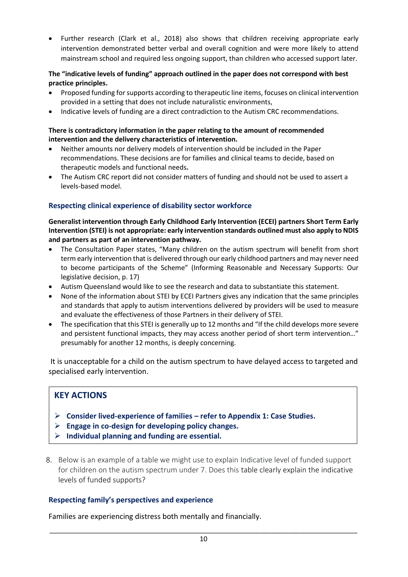• Further research (Clark et al., 2018) also shows that children receiving appropriate early intervention demonstrated better verbal and overall cognition and were more likely to attend mainstream school and required less ongoing support, than children who accessed support later.

#### **The "indicative levels of funding" approach outlined in the paper does not correspond with best practice principles.**

- Proposed funding for supports according to therapeutic line items, focuses on clinical intervention provided in a setting that does not include naturalistic environments,
- Indicative levels of funding are a direct contradiction to the Autism CRC recommendations.

#### **There is contradictory information in the paper relating to the amount of recommended intervention and the delivery characteristics of intervention.**

- Neither amounts nor delivery models of intervention should be included in the Paper recommendations. These decisions are for families and clinical teams to decide, based on therapeutic models and functional needs**.**
- The Autism CRC report did not consider matters of funding and should not be used to assert a levels-based model.

#### **Respecting clinical experience of disability sector workforce**

#### **Generalist intervention through Early Childhood Early Intervention (ECEI) partners Short Term Early Intervention (STEI) is not appropriate: early intervention standards outlined must also apply to NDIS and partners as part of an intervention pathway.**

- The Consultation Paper states, "Many children on the autism spectrum will benefit from short term early intervention that is delivered through our early childhood partners and may never need to become participants of the Scheme" (Informing Reasonable and Necessary Supports: Our legislative decision, p. 17)
- Autism Queensland would like to see the research and data to substantiate this statement.
- None of the information about STEI by ECEI Partners gives any indication that the same principles and standards that apply to autism interventions delivered by providers will be used to measure and evaluate the effectiveness of those Partners in their delivery of STEI.
- The specification that this STEI is generally up to 12 months and "If the child develops more severe and persistent functional impacts, they may access another period of short term intervention…" presumably for another 12 months, is deeply concerning.

It is unacceptable for a child on the autism spectrum to have delayed access to targeted and specialised early intervention.

### **KEY ACTIONS**

- ➢ **Consider lived-experience of families – refer to Appendix 1: Case Studies.**
- ➢ **Engage in co-design for developing policy changes.**
- ➢ **Individual planning and funding are essential.**
- 8. Below is an example of a table we might use to explain Indicative level of funded support for children on the autism spectrum under 7. Does this table clearly explain the indicative levels of funded supports?

#### **Respecting family's perspectives and experience**

Families are experiencing distress both mentally and financially.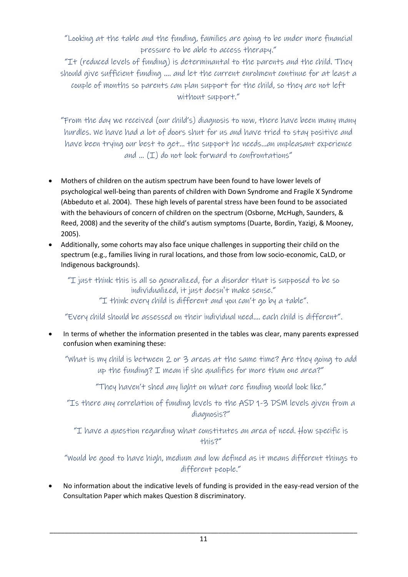"Looking at the table and the funding, families are going to be under more financial pressure to be able to access therapy."

"It (reduced levels of funding) is determinantal to the parents and the child. They should give sufficient funding …. and let the current enrolment continue for at least a couple of months so parents can plan support for the child, so they are not left without support."

"From the day we received (our child's) diagnosis to now, there have been many many hurdles. We have had a lot of doors shut for us and have tried to stay positive and have been trying our best to get… the support he needs…an unpleasant experience and  $\ldots$   $(1)$  do not look forward to confrontations"

- Mothers of children on the autism spectrum have been found to have lower levels of psychological well-being than parents of children with Down Syndrome and Fragile X Syndrome (Abbeduto et al. 2004). These high levels of parental stress have been found to be associated with the behaviours of concern of children on the spectrum (Osborne, McHugh, Saunders, & Reed, 2008) and the severity of the child's autism symptoms (Duarte, Bordin, Yazigi, & Mooney, 2005).
- Additionally, some cohorts may also face unique challenges in supporting their child on the spectrum (e.g., families living in rural locations, and those from low socio-economic, CaLD, or Indigenous backgrounds).

"I just think this is all so generalized, for a disorder that is supposed to be so individualized, it just doesn't make sense."

"I think every child is different and you can't go by a table".

"Every child should be assessed on their individual need.... each child is different".

In terms of whether the information presented in the tables was clear, many parents expressed confusion when examining these:

"What is my child is between 2 or 3 areas at the same time? Are they going to add up the funding? I mean if she qualifies for more than one area?"

"They haven't shed any light on what core funding would look like."

"Is there any correlation of funding levels to the ASD 1-3 DSM levels given from a diagnosis?"

"I have a question regarding what constitutes an area of need. How specific is this?"

"Would be good to have high, medium and low defined as it means different things to different people."

• No information about the indicative levels of funding is provided in the easy-read version of the Consultation Paper which makes Question 8 discriminatory.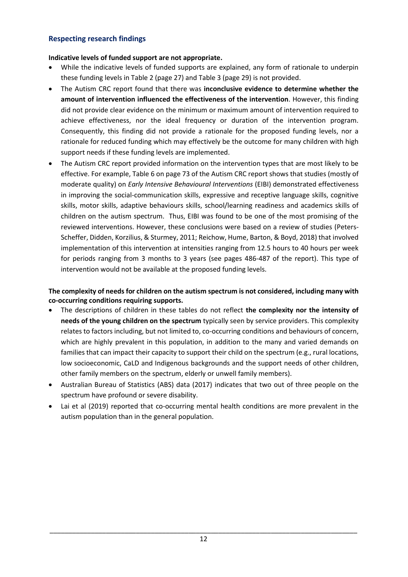#### **Respecting research findings**

#### **Indicative levels of funded support are not appropriate.**

- While the indicative levels of funded supports are explained, any form of rationale to underpin these funding levels in Table 2 (page 27) and Table 3 (page 29) is not provided.
- The Autism CRC report found that there was **inconclusive evidence to determine whether the amount of intervention influenced the effectiveness of the intervention**. However, this finding did not provide clear evidence on the minimum or maximum amount of intervention required to achieve effectiveness, nor the ideal frequency or duration of the intervention program. Consequently, this finding did not provide a rationale for the proposed funding levels, nor a rationale for reduced funding which may effectively be the outcome for many children with high support needs if these funding levels are implemented.
- The Autism CRC report provided information on the intervention types that are most likely to be effective. For example, Table 6 on page 73 of the Autism CRC report shows that studies (mostly of moderate quality) on *Early Intensive Behavioural Interventions* (EIBI) demonstrated effectiveness in improving the social-communication skills, expressive and receptive language skills, cognitive skills, motor skills, adaptive behaviours skills, school/learning readiness and academics skills of children on the autism spectrum. Thus, EIBI was found to be one of the most promising of the reviewed interventions. However, these conclusions were based on a review of studies (Peters-Scheffer, Didden, Korzilius, & Sturmey, 2011; Reichow, Hume, Barton, & Boyd, 2018) that involved implementation of this intervention at intensities ranging from 12.5 hours to 40 hours per week for periods ranging from 3 months to 3 years (see pages 486-487 of the report). This type of intervention would not be available at the proposed funding levels.

#### **The complexity of needs for children on the autism spectrum is not considered, including many with co-occurring conditions requiring supports.**

- The descriptions of children in these tables do not reflect **the complexity nor the intensity of needs of the young children on the spectrum** typically seen by service providers. This complexity relates to factors including, but not limited to, co-occurring conditions and behaviours of concern, which are highly prevalent in this population, in addition to the many and varied demands on families that can impact their capacity to support their child on the spectrum (e.g., rural locations, low socioeconomic, CaLD and Indigenous backgrounds and the support needs of other children, other family members on the spectrum, elderly or unwell family members).
- Australian Bureau of Statistics (ABS) data (2017) indicates that two out of three people on the spectrum have profound or severe disability.
- Lai et al (2019) reported that co-occurring mental health conditions are more prevalent in the autism population than in the general population.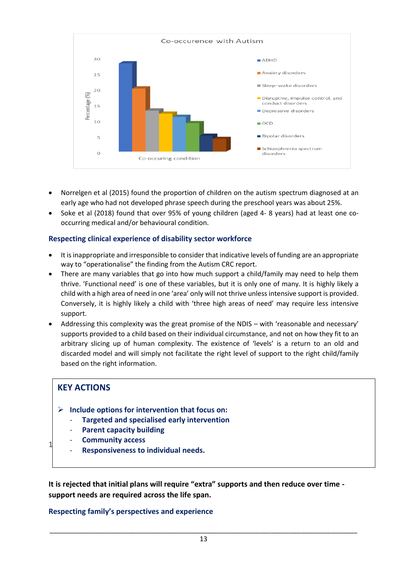

- Norrelgen et al (2015) found the proportion of children on the autism spectrum diagnosed at an early age who had not developed phrase speech during the preschool years was about 25%.
- Soke et al (2018) found that over 95% of young children (aged 4- 8 years) had at least one cooccurring medical and/or behavioural condition.

#### **Respecting clinical experience of disability sector workforce**

- It is inappropriate and irresponsible to consider that indicative levels of funding are an appropriate way to "operationalise" the finding from the Autism CRC report.
- There are many variables that go into how much support a child/family may need to help them thrive. 'Functional need' is one of these variables, but it is only one of many. It is highly likely a child with a high area of need in one 'area' only will not thrive unless intensive support is provided. Conversely, it is highly likely a child with 'three high areas of need' may require less intensive support.
- Addressing this complexity was the great promise of the NDIS with 'reasonable and necessary' supports provided to a child based on their individual circumstance, and not on how they fit to an arbitrary slicing up of human complexity. The existence of 'levels' is a return to an old and discarded model and will simply not facilitate the right level of support to the right child/family based on the right information.

### **KEY ACTIONS**

- ➢ **Include options for intervention that focus on:**
	- **Targeted and specialised early intervention**

services. What do we need to consider in those situations?

- **Parent capacity building**
- **Community access**
- $1<sup>1</sup>$  There exists we can individual so cale during first plans, or where plans reduce in value due to the impact of mainstream - **Responsiveness to individual needs.**

**It is rejected that initial plans will require "extra" supports and then reduce over time support needs are required across the life span.**

#### **Respecting family's perspectives and experience**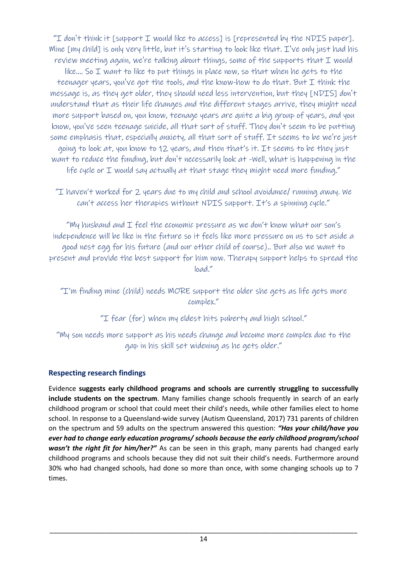"I don't think it [support I would like to access] is [represented by the NDIS paper]. Mine [my child] is only very little, but it's starting to look like that. I've only just had his review meeting again, we're talking about things, some of the supports that  $I$  would like.... So I want to like to put things in place now, so that when he gets to the teenager years, you've got the tools, and the know-how to do that. But I think the message is, as they get older, they should need less intervention, but they [NDIS] don't understand that as their life changes and the different stages arrive, they might need more support based on, you know, teenage years are quite a big group of years, and you know, you've seen teenage suicide, all that sort of stuff. They don't seem to be putting some emphasis that, especially anxiety, all that sort of stuff. It seems to be we're just going to look at, you know to 12 years, and then that's it. It seems to be they just want to reduce the funding, but don't necessarily look at -Well, what is happening in the life cycle or I would say actually at that stage they might need more funding."

"I haven't worked for 2 years due to my child and school avoidance/ running away. We can't access her therapies without NDIS support. It's a spinning cycle."

"My husband and  $I$  feel the economic pressure as we don't know what our son's independence will be like in the future so it feels like more pressure on us to set aside a good nest egg for his future (and our other child of course).. But also we want to present and provide the best support for him now. Therapy support helps to spread the load."

"I'm finding mine (child) needs MORE support the older she gets as life gets more complex."

"I fear (for) when my eldest hits puberty and high school."

"My son needs more support as his needs change and become more complex due to the gap in his skill set widening as he gets older."

## **Respecting research findings**

Evidence **suggests early childhood programs and schools are currently struggling to successfully include students on the spectrum**. Many families change schools frequently in search of an early childhood program or school that could meet their child's needs, while other families elect to home school. In response to a Queensland-wide survey (Autism Queensland, 2017) 731 parents of children on the spectrum and 59 adults on the spectrum answered this question: *"Has your child/have you ever had to change early education programs/ schools because the early childhood program/school wasn't the right fit for him/her?"* As can be seen in this graph, many parents had changed early childhood programs and schools because they did not suit their child's needs. Furthermore around 30% who had changed schools, had done so more than once, with some changing schools up to 7 times.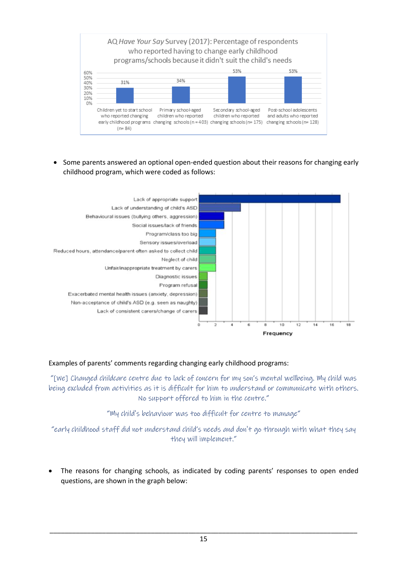

• Some parents answered an optional open-ended question about their reasons for changing early childhood program, which were coded as follows:



#### Examples of parents' comments regarding changing early childhood programs:

"[We] Changed childcare centre due to lack of concern for my son's mental wellbeing. My child was being excluded from activities as it is difficult for him to understand or communicate with others. No support offered to him in the centre."

"My child's behaviour was too difficult for centre to manage"

"early childhood staff did not understand child's needs and don't go through with what they say they will implement."

• The reasons for changing schools, as indicated by coding parents' responses to open ended questions, are shown in the graph below: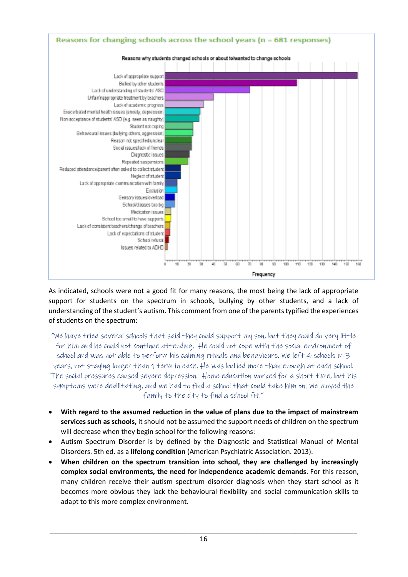

As indicated, schools were not a good fit for many reasons, the most being the lack of appropriate support for students on the spectrum in schools, bullying by other students, and a lack of understanding of the student's autism. This comment from one of the parents typified the experiences of students on the spectrum:

"We have tried several schools that said they could support my son, but they could do very little for him and he could not continue attending. He could not cope with the social environment of school and was not able to perform his calming rituals and behaviours. We left 4 schools in 3 years, not staying longer than 1 term in each. He was bullied more than enough at each school. The social pressures caused severe depression. Home education worked for a short time, but his symptoms were debilitating, and we had to find a school that could take him on. We moved the family to the city to find a school fit."

- **With regard to the assumed reduction in the value of plans due to the impact of mainstream services such as schools,** it should not be assumed the support needs of children on the spectrum will decrease when they begin school for the following reasons:
- Autism Spectrum Disorder is by defined by the Diagnostic and Statistical Manual of Mental Disorders. 5th ed. as a **lifelong condition** (American Psychiatric Association. 2013).
- **When children on the spectrum transition into school, they are challenged by increasingly complex social environments, the need for independence academic demands**. For this reason, many children receive their autism spectrum disorder diagnosis when they start school as it becomes more obvious they lack the behavioural flexibility and social communication skills to adapt to this more complex environment.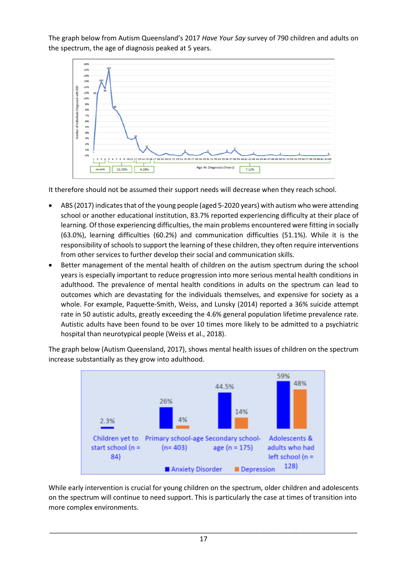The graph below from Autism Queensland's 2017 *Have Your Say* survey of 790 children and adults on the spectrum, the age of diagnosis peaked at 5 years.



It therefore should not be assumed their support needs will decrease when they reach school.

- ABS (2017) indicates that of the young people (aged 5-2020 years) with autism who were attending school or another educational institution, 83.7% reported experiencing difficulty at their place of learning. Of those experiencing difficulties, the main problems encountered were fitting in socially (63.0%), learning difficulties (60.2%) and communication difficulties (51.1%). While it is the responsibility of schools to support the learning of these children, they often require interventions from other services to further develop their social and communication skills.
- Better management of the mental health of children on the autism spectrum during the school years is especially important to reduce progression into more serious mental health conditions in adulthood. The prevalence of mental health conditions in adults on the spectrum can lead to outcomes which are devastating for the individuals themselves, and expensive for society as a whole. For example, Paquette-Smith, Weiss, and Lunsky (2014) reported a 36% suicide attempt rate in 50 autistic adults, greatly exceeding the 4.6% general population lifetime prevalence rate. Autistic adults have been found to be over 10 times more likely to be admitted to a psychiatric hospital than neurotypical people (Weiss et al., 2018).

The graph below (Autism Queensland, 2017), shows mental health issues of children on the spectrum increase substantially as they grow into adulthood.



While early intervention is crucial for young children on the spectrum, older children and adolescents on the spectrum will continue to need support. This is particularly the case at times of transition into more complex environments.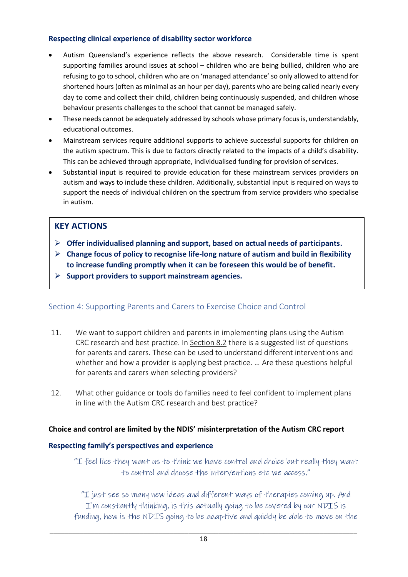#### **Respecting clinical experience of disability sector workforce**

- Autism Queensland's experience reflects the above research. Considerable time is spent supporting families around issues at school – children who are being bullied, children who are refusing to go to school, children who are on 'managed attendance' so only allowed to attend for shortened hours (often as minimal as an hour per day), parents who are being called nearly every day to come and collect their child, children being continuously suspended, and children whose behaviour presents challenges to the school that cannot be managed safely.
- These needs cannot be adequately addressed by schools whose primary focus is, understandably, educational outcomes.
- Mainstream services require additional supports to achieve successful supports for children on the autism spectrum. This is due to factors directly related to the impacts of a child's disability. This can be achieved through appropriate, individualised funding for provision of services.
- Substantial input is required to provide education for these mainstream services providers on autism and ways to include these children. Additionally, substantial input is required on ways to support the needs of individual children on the spectrum from service providers who specialise in autism.

## **KEY ACTIONS**

- ➢ **Offer individualised planning and support, based on actual needs of participants.**
- ➢ **Change focus of policy to recognise life-long nature of autism and build in flexibility to increase funding promptly when it can be foreseen this would be of benefit.**
- ➢ **Support providers to support mainstream agencies.**

### Section 4: Supporting Parents and Carers to Exercise Choice and Control

- 11. We want to support children and parents in implementing plans using the Autism CRC research and best practice. In [Section 8.2](bookmark://_8.2_Improving_participant/) there is a suggested list of questions for parents and carers. These can be used to understand different interventions and whether and how a provider is applying best practice. … Are these questions helpful for parents and carers when selecting providers?
- 12. What other guidance or tools do families need to feel confident to implement plans in line with the Autism CRC research and best practice?

### **Choice and control are limited by the NDIS' misinterpretation of the Autism CRC report**

#### **Respecting family's perspectives and experience**

"I feel like they want us to think we have control and choice but really they want to control and choose the interventions etc we access."

"I just see so many new ideas and different ways of therapies coming up. And I'm constantly thinking, is this actually going to be covered by our NDIS is funding, how is the NDIS going to be adaptive and quickly be able to move on the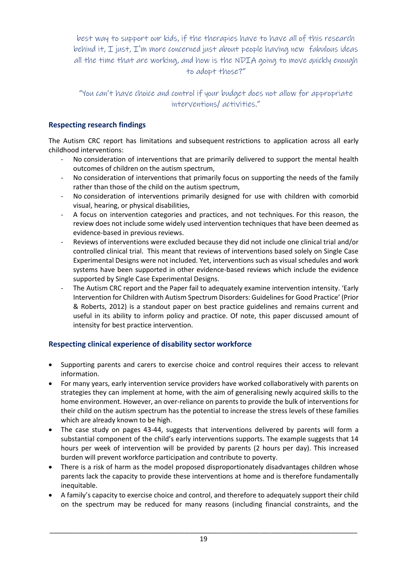best way to support our kids, if the therapies have to have all of this research behind it, I just, I'm more concerned just about people having new fabulous ideas all the time that are working, and how is the NDIA going to move quickly enough to adopt those?"

"You can't have choice and control if your budget does not allow for appropriate interventions/ activities."

### **Respecting research findings**

The Autism CRC report has limitations and subsequent restrictions to application across all early childhood interventions:

- No consideration of interventions that are primarily delivered to support the mental health outcomes of children on the autism spectrum,
- No consideration of interventions that primarily focus on supporting the needs of the family rather than those of the child on the autism spectrum,
- No consideration of interventions primarily designed for use with children with comorbid visual, hearing, or physical disabilities,
- A focus on intervention categories and practices, and not techniques. For this reason, the review does not include some widely used intervention techniques that have been deemed as evidence-based in previous reviews.
- Reviews of interventions were excluded because they did not include one clinical trial and/or controlled clinical trial.  This meant that reviews of interventions based solely on Single Case Experimental Designs were not included. Yet, interventions such as visual schedules and work systems have been supported in other evidence-based reviews which include the evidence supported by Single Case Experimental Designs.
- The Autism CRC report and the Paper fail to adequately examine intervention intensity. 'Early Intervention for Children with Autism Spectrum Disorders: Guidelines for Good Practice' (Prior & Roberts, 2012) is a standout paper on best practice guidelines and remains current and useful in its ability to inform policy and practice. Of note, this paper discussed amount of intensity for best practice intervention.

### **Respecting clinical experience of disability sector workforce**

- Supporting parents and carers to exercise choice and control requires their access to relevant information.
- For many years, early intervention service providers have worked collaboratively with parents on strategies they can implement at home, with the aim of generalising newly acquired skills to the home environment. However, an over-reliance on parents to provide the bulk of interventions for their child on the autism spectrum has the potential to increase the stress levels of these families which are already known to be high.
- The case study on pages 43-44, suggests that interventions delivered by parents will form a substantial component of the child's early interventions supports. The example suggests that 14 hours per week of intervention will be provided by parents (2 hours per day). This increased burden will prevent workforce participation and contribute to poverty.
- There is a risk of harm as the model proposed disproportionately disadvantages children whose parents lack the capacity to provide these interventions at home and is therefore fundamentally inequitable.
- A family's capacity to exercise choice and control, and therefore to adequately support their child on the spectrum may be reduced for many reasons (including financial constraints, and the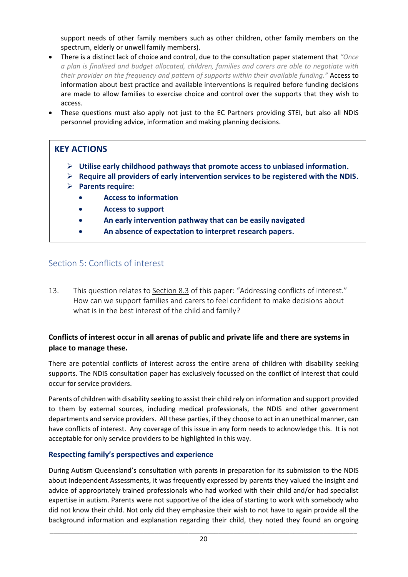support needs of other family members such as other children, other family members on the spectrum, elderly or unwell family members).

- There is a distinct lack of choice and control, due to the consultation paper statement that *"Once a plan is finalised and budget allocated, children, families and carers are able to negotiate with their provider on the frequency and pattern of supports within their available funding."* Access to information about best practice and available interventions is required before funding decisions are made to allow families to exercise choice and control over the supports that they wish to access.
- These questions must also apply not just to the EC Partners providing STEI, but also all NDIS personnel providing advice, information and making planning decisions.

## **KEY ACTIONS**

- ➢ **Utilise early childhood pathways that promote access to unbiased information.**
- ➢ **Require all providers of early intervention services to be registered with the NDIS.**
- ➢ **Parents require:**
	- **Access to information**
	- **Access to support**
	- **An early intervention pathway that can be easily navigated**
	- **An absence of expectation to interpret research papers.**

## Section 5: Conflicts of interest and make decisions that have a life-long input and make  $\sim$

13. This question relates to [Section 8.3](bookmark://_8.3_Addressing_conflicts/) of this paper: "Addressing conflicts of interest." How can we support families and carers to feel confident to make decisions about what is in the best interest of the child and family?

### **Conflicts of interest occur in all arenas of public and private life and there are systems in place to manage these.**

There are potential conflicts of interest across the entire arena of children with disability seeking supports. The NDIS consultation paper has exclusively focussed on the conflict of interest that could occur for service providers.

Parents of children with disability seeking to assist their child rely on information and support provided to them by external sources, including medical professionals, the NDIS and other government departments and service providers. All these parties, if they choose to act in an unethical manner, can have conflicts of interest. Any coverage of this issue in any form needs to acknowledge this. It is not acceptable for only service providers to be highlighted in this way.

### **Respecting family's perspectives and experience**

During Autism Queensland's consultation with parents in preparation for its submission to the NDIS about Independent Assessments, it was frequently expressed by parents they valued the insight and advice of appropriately trained professionals who had worked with their child and/or had specialist expertise in autism. Parents were not supportive of the idea of starting to work with somebody who did not know their child. Not only did they emphasize their wish to not have to again provide all the background information and explanation regarding their child, they noted they found an ongoing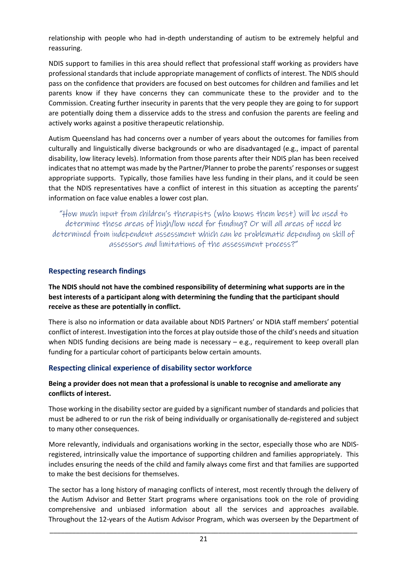relationship with people who had in-depth understanding of autism to be extremely helpful and reassuring.

NDIS support to families in this area should reflect that professional staff working as providers have professional standards that include appropriate management of conflicts of interest. The NDIS should pass on the confidence that providers are focused on best outcomes for children and families and let parents know if they have concerns they can communicate these to the provider and to the Commission. Creating further insecurity in parents that the very people they are going to for support are potentially doing them a disservice adds to the stress and confusion the parents are feeling and actively works against a positive therapeutic relationship.

Autism Queensland has had concerns over a number of years about the outcomes for families from culturally and linguistically diverse backgrounds or who are disadvantaged (e.g., impact of parental disability, low literacy levels). Information from those parents after their NDIS plan has been received indicates that no attempt was made by the Partner/Planner to probe the parents' responses or suggest appropriate supports. Typically, those families have less funding in their plans, and it could be seen that the NDIS representatives have a conflict of interest in this situation as accepting the parents' information on face value enables a lower cost plan.

"How much input from children's therapists (who knows them best) will be used to determine these areas of high/low need for funding? Or will all areas of need be determined from independent assessment which can be problematic depending on skill of assessors and limitations of the assessment process?"

#### **Respecting research findings**

#### **The NDIS should not have the combined responsibility of determining what supports are in the best interests of a participant along with determining the funding that the participant should receive as these are potentially in conflict.**

There is also no information or data available about NDIS Partners' or NDIA staff members' potential conflict of interest. Investigation into the forces at play outside those of the child's needs and situation when NDIS funding decisions are being made is necessary – e.g., requirement to keep overall plan funding for a particular cohort of participants below certain amounts.

#### **Respecting clinical experience of disability sector workforce**

#### **Being a provider does not mean that a professional is unable to recognise and ameliorate any conflicts of interest.**

Those working in the disability sector are guided by a significant number of standards and policies that must be adhered to or run the risk of being individually or organisationally de-registered and subject to many other consequences.

More relevantly, individuals and organisations working in the sector, especially those who are NDISregistered, intrinsically value the importance of supporting children and families appropriately. This includes ensuring the needs of the child and family always come first and that families are supported to make the best decisions for themselves.

The sector has a long history of managing conflicts of interest, most recently through the delivery of the Autism Advisor and Better Start programs where organisations took on the role of providing comprehensive and unbiased information about all the services and approaches available. Throughout the 12-years of the Autism Advisor Program, which was overseen by the Department of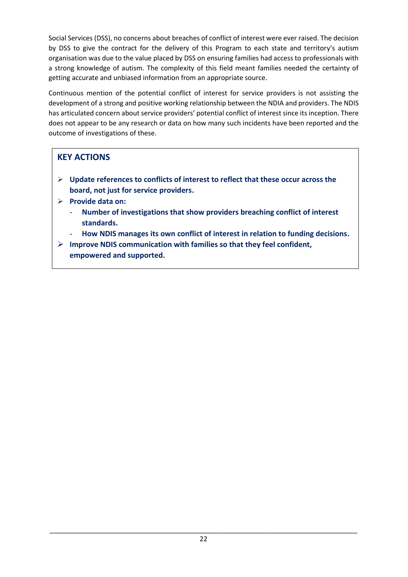Social Services (DSS), no concerns about breaches of conflict of interest were ever raised. The decision by DSS to give the contract for the delivery of this Program to each state and territory's autism organisation was due to the value placed by DSS on ensuring families had access to professionals with a strong knowledge of autism. The complexity of this field meant families needed the certainty of getting accurate and unbiased information from an appropriate source.

Continuous mention of the potential conflict of interest for service providers is not assisting the development of a strong and positive working relationship between the NDIA and providers. The NDIS has articulated concern about service providers' potential conflict of interest since its inception. There does not appear to be any research or data on how many such incidents have been reported and the outcome of investigations of these.

## **KEY ACTIONS**

- ➢ **Update references to conflicts of interest to reflect that these occur across the board, not just for service providers.**
- ➢ **Provide data on:**
	- **Number of investigations that show providers breaching conflict of interest standards.**
	- **How NDIS manages its own conflict of interest in relation to funding decisions.**
- ➢ **Improve NDIS communication with families so that they feel confident, empowered and supported.**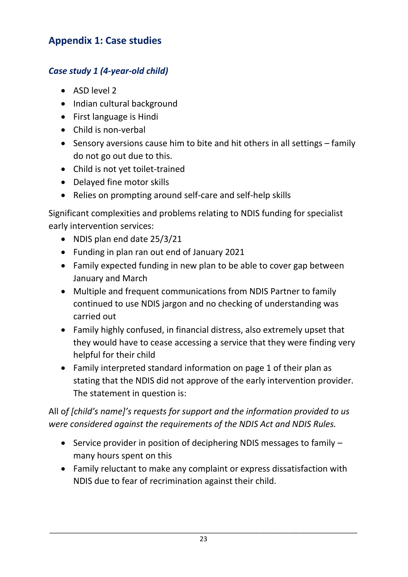# **Appendix 1: Case studies**

# *Case study 1 (4-year-old child)*

- ASD level 2
- Indian cultural background
- First language is Hindi
- Child is non-verbal
- Sensory aversions cause him to bite and hit others in all settings family do not go out due to this.
- Child is not yet toilet-trained
- Delayed fine motor skills
- Relies on prompting around self-care and self-help skills

Significant complexities and problems relating to NDIS funding for specialist early intervention services:

- NDIS plan end date 25/3/21
- Funding in plan ran out end of January 2021
- Family expected funding in new plan to be able to cover gap between January and March
- Multiple and frequent communications from NDIS Partner to family continued to use NDIS jargon and no checking of understanding was carried out
- Family highly confused, in financial distress, also extremely upset that they would have to cease accessing a service that they were finding very helpful for their child
- Family interpreted standard information on page 1 of their plan as stating that the NDIS did not approve of the early intervention provider. The statement in question is:

All o*f [child's name]'s requests for support and the information provided to us were considered against the requirements of the NDIS Act and NDIS Rules.*

- Service provider in position of deciphering NDIS messages to family many hours spent on this
- Family reluctant to make any complaint or express dissatisfaction with NDIS due to fear of recrimination against their child.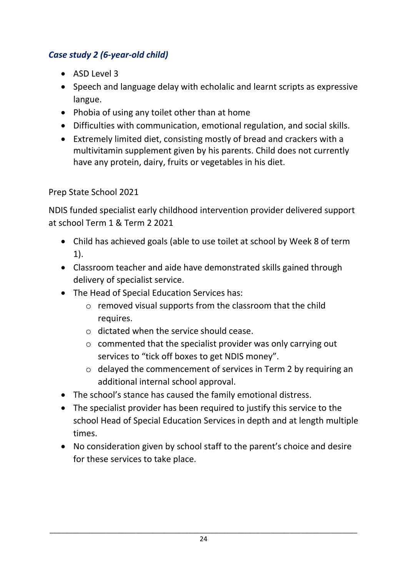# *Case study 2 (6-year-old child)*

- ASD Level 3
- Speech and language delay with echolalic and learnt scripts as expressive langue.
- Phobia of using any toilet other than at home
- Difficulties with communication, emotional regulation, and social skills.
- Extremely limited diet, consisting mostly of bread and crackers with a multivitamin supplement given by his parents. Child does not currently have any protein, dairy, fruits or vegetables in his diet.

# Prep State School 2021

NDIS funded specialist early childhood intervention provider delivered support at school Term 1 & Term 2 2021

- Child has achieved goals (able to use toilet at school by Week 8 of term 1).
- Classroom teacher and aide have demonstrated skills gained through delivery of specialist service.
- The Head of Special Education Services has:
	- o removed visual supports from the classroom that the child requires.
	- o dictated when the service should cease.
	- o commented that the specialist provider was only carrying out services to "tick off boxes to get NDIS money".
	- o delayed the commencement of services in Term 2 by requiring an additional internal school approval.
- The school's stance has caused the family emotional distress.
- The specialist provider has been required to justify this service to the school Head of Special Education Services in depth and at length multiple times.
- No consideration given by school staff to the parent's choice and desire for these services to take place.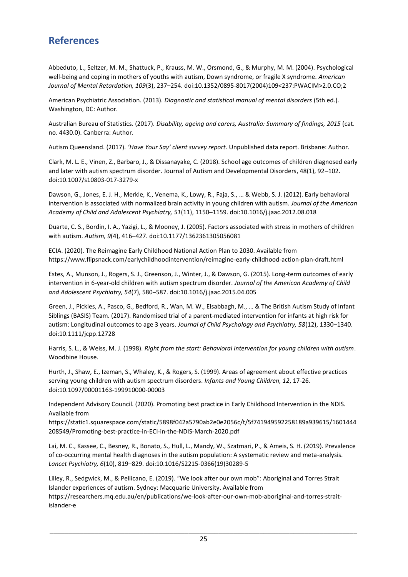# **References**

Abbeduto, L., Seltzer, M. M., Shattuck, P., Krauss, M. W., Orsmond, G., & Murphy, M. M. (2004). Psychological well-being and coping in mothers of youths with autism, Down syndrome, or fragile X syndrome. *American Journal of Mental Retardation, 109*(3), 237–254. doi:10.1352/0895-8017(2004)109<237:PWACIM>2.0.CO;2

American Psychiatric Association. (2013). *Diagnostic and statistical manual of mental disorders* (5th ed.). Washington, DC: Author.

Australian Bureau of Statistics. (2017). *Disability, ageing and carers, Australia: Summary of findings, 2015* (cat. no. 4430.0). Canberra: Author.

Autism Queensland. (2017). *'Have Your Say' client survey report*. Unpublished data report. Brisbane: Author.

Clark, M. L. E., Vinen, Z., Barbaro, J., & Dissanayake, C. (2018). School age outcomes of children diagnosed early and later with autism spectrum disorder. Journal of Autism and Developmental Disorders, 48(1), 92–102. doi:10.1007/s10803-017-3279-x

Dawson, G., Jones, E. J. H., Merkle, K., Venema, K., Lowy, R., Faja, S., … & Webb, S. J. (2012). Early behavioral intervention is associated with normalized brain activity in young children with autism. *Journal of the American Academy of Child and Adolescent Psychiatry, 51*(11), 1150–1159. doi:10.1016/j.jaac.2012.08.018

Duarte, C. S., Bordin, I. A., Yazigi, L., & Mooney, J. (2005). Factors associated with stress in mothers of children with autism. *Autism, 9*(4), 416–427. doi:10.1177/1362361305056081

ECIA. (2020). The Reimagine Early Childhood National Action Plan to 2030. Available from https://www.flipsnack.com/earlychildhoodintervention/reimagine-early-childhood-action-plan-draft.html

Estes, A., Munson, J., Rogers, S. J., Greenson, J., Winter, J., & Dawson, G. (2015). Long-term outcomes of early intervention in 6-year-old children with autism spectrum disorder. *Journal of the American Academy of Child and Adolescent Psychiatry, 54*(7), 580–587. doi:10.1016/j.jaac.2015.04.005

Green, J., Pickles, A., Pasco, G., Bedford, R., Wan, M. W., Elsabbagh, M., … & The British Autism Study of Infant Siblings (BASIS) Team. (2017). Randomised trial of a parent‐mediated intervention for infants at high risk for autism: Longitudinal outcomes to age 3 years. *Journal of Child Psychology and Psychiatry, 58*(12), 1330–1340. doi:10.1111/jcpp.12728

Harris, S. L., & Weiss, M. J. (1998). *Right from the start: Behavioral intervention for young children with autism*. Woodbine House.

Hurth, J., Shaw, E., Izeman, S., Whaley, K., & Rogers, S. (1999). Areas of agreement about effective practices serving young children with autism spectrum disorders. *Infants and Young Children, 12*, 17-26. doi:10.1097/00001163-199910000-00003

Independent Advisory Council. (2020). Promoting best practice in Early Childhood Intervention in the NDIS. Available from

https://static1.squarespace.com/static/5898f042a5790ab2e0e2056c/t/5f741949592258189a939615/1601444 208549/Promoting-best-practice-in-ECI-in-the-NDIS-March-2020.pdf

Lai, M. C., Kassee, C., Besney, R., Bonato, S., Hull, L., Mandy, W., Szatmari, P., & Ameis, S. H. (2019). Prevalence of co-occurring mental health diagnoses in the autism population: A systematic review and meta-analysis. *Lancet Psychiatry, 6*(10), 819–829. doi:10.1016/S2215-0366(19)30289-5

Lilley, R., Sedgwick, M., & Pellicano, E. (2019). "We look after our own mob": Aboriginal and Torres Strait Islander experiences of autism. Sydney: Macquarie University. Available from https://researchers.mq.edu.au/en/publications/we-look-after-our-own-mob-aboriginal-and-torres-straitislander-e